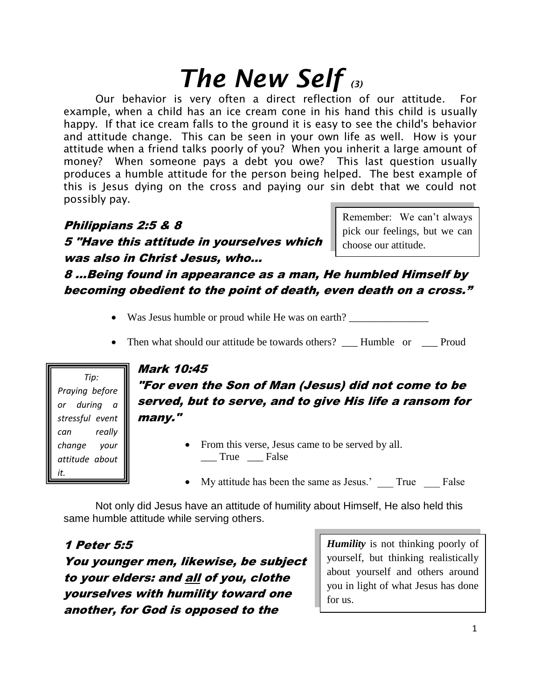# *The New Self (3)*

Our behavior is very often a direct reflection of our attitude. For example, when a child has an ice cream cone in his hand this child is usually happy. If that ice cream falls to the ground it is easy to see the child's behavior and attitude change. This can be seen in your own life as well. How is your attitude when a friend talks poorly of you? When you inherit a large amount of money? When someone pays a debt you owe? This last question usually produces a humble attitude for the person being helped. The best example of this is Jesus dying on the cross and paying our sin debt that we could not possibly pay.

Philippians 2:5 & 8 5 "Have this attitude in yourselves which was also in Christ Jesus, who…

Remember: We can't always pick our feelings, but we can choose our attitude.

8 …Being found in appearance as a man, He humbled Himself by becoming obedient to the point of death, even death on a cross."

- Was Jesus humble or proud while He was on earth?
- Then what should our attitude be towards others? Humble or Proud

 *Tip: Praying before or during a stressful event can really change your attitude about it.*

# Mark 10:45

"For even the Son of Man (Jesus) did not come to be served, but to serve, and to give His life a ransom for many."

- From this verse, Jesus came to be served by all. \_\_\_ True \_\_\_ False
- My attitude has been the same as Jesus.' True False

Not only did Jesus have an attitude of humility about Himself, He also held this same humble attitude while serving others.

1 Peter 5:5 You younger men, likewise, be subject to your elders: and all of you, clothe yourselves with humility toward one another, for God is opposed to the

*Humility* is not thinking poorly of yourself, but thinking realistically about yourself and others around you in light of what Jesus has done for us.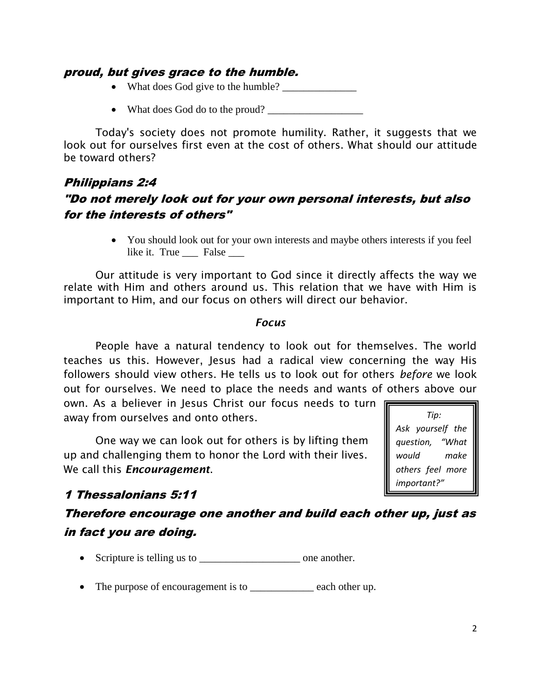#### proud, but gives grace to the humble.

- What does God give to the humble? \_\_\_\_\_\_\_\_\_\_\_\_\_\_
- What does God do to the proud?

Today's society does not promote humility. Rather, it suggests that we look out for ourselves first even at the cost of others. What should our attitude be toward others?

# Philippians 2:4 "Do not merely look out for your own personal interests, but also for the interests of others"

 You should look out for your own interests and maybe others interests if you feel like it. True \_\_\_ False \_\_\_

Our attitude is very important to God since it directly affects the way we relate with Him and others around us. This relation that we have with Him is important to Him, and our focus on others will direct our behavior.

#### *Focus*

People have a natural tendency to look out for themselves. The world teaches us this. However, Jesus had a radical view concerning the way His followers should view others. He tells us to look out for others *before* we look out for ourselves. We need to place the needs and wants of others above our

own. As a believer in Jesus Christ our focus needs to turn F away from ourselves and onto others.

One way we can look out for others is by lifting them up and challenging them to honor the Lord with their lives. We call this *Encouragement*.

 *Tip: Ask yourself the question, "What would make others feel more important?"* 

# 1 Thessalonians 5:11

# Therefore encourage one another and build each other up, just as in fact you are doing.

- Scripture is telling us to \_\_\_\_\_\_\_\_\_\_\_\_\_\_\_\_\_\_\_ one another.
- The purpose of encouragement is to each other up.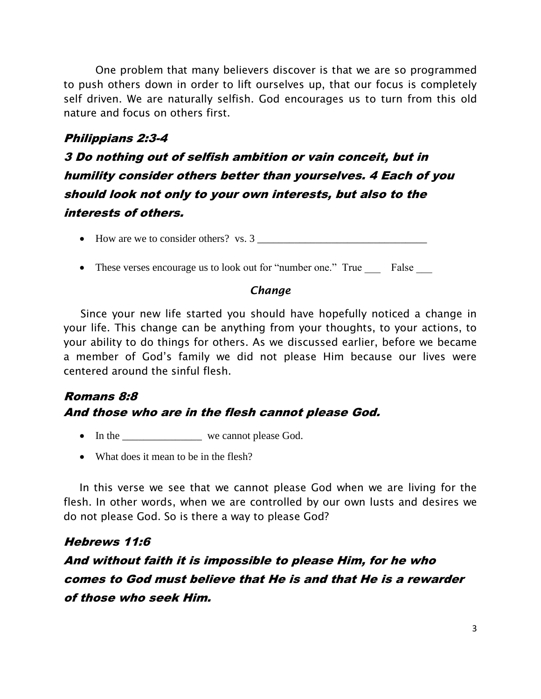One problem that many believers discover is that we are so programmed to push others down in order to lift ourselves up, that our focus is completely self driven. We are naturally selfish. God encourages us to turn from this old nature and focus on others first.

### Philippians 2:3-4

3 Do nothing out of selfish ambition or vain conceit, but in humility consider others better than yourselves. 4 Each of you should look not only to your own interests, but also to the interests of others.

 $\bullet$  How are we to consider others? vs. 3

• These verses encourage us to look out for "number one." True False

#### *Change*

 Since your new life started you should have hopefully noticed a change in your life. This change can be anything from your thoughts, to your actions, to your ability to do things for others. As we discussed earlier, before we became a member of God's family we did not please Him because our lives were centered around the sinful flesh.

# Romans 8:8 And those who are in the flesh cannot please God.

- In the \_\_\_\_\_\_\_\_\_\_\_\_\_\_\_ we cannot please God.
- What does it mean to be in the flesh?

In this verse we see that we cannot please God when we are living for the flesh. In other words, when we are controlled by our own lusts and desires we do not please God. So is there a way to please God?

#### Hebrews 11:6

# And without faith it is impossible to please Him, for he who comes to God must believe that He is and that He is a rewarder of those who seek Him.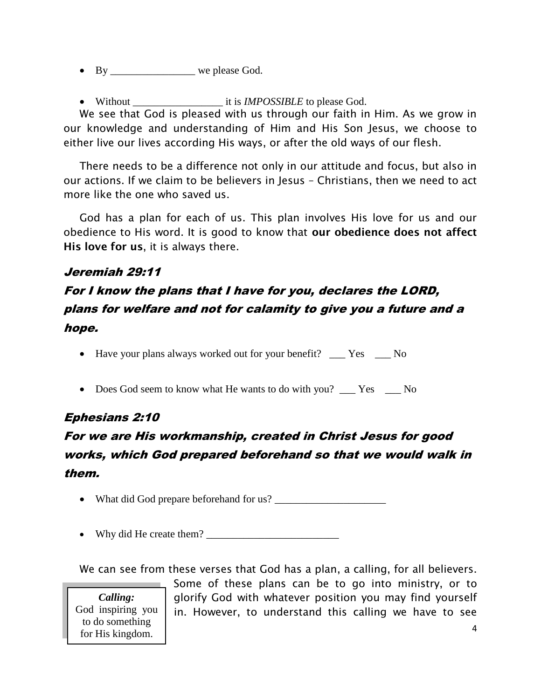- By \_\_\_\_\_\_\_\_\_\_\_\_\_\_\_\_\_\_ we please God.
- Without \_\_\_\_\_\_\_\_\_\_\_\_\_\_\_\_\_ it is *IMPOSSIBLE* to please God.

We see that God is pleased with us through our faith in Him. As we grow in our knowledge and understanding of Him and His Son Jesus, we choose to either live our lives according His ways, or after the old ways of our flesh.

There needs to be a difference not only in our attitude and focus, but also in our actions. If we claim to be believers in Jesus – Christians, then we need to act more like the one who saved us.

God has a plan for each of us. This plan involves His love for us and our obedience to His word. It is good to know that **our obedience does not affect His love for us**, it is always there.

### Jeremiah 29:11

# For I know the plans that I have for you, declares the LORD, plans for welfare and not for calamity to give you a future and a hope.

• Have your plans always worked out for your benefit? \_\_\_ Yes \_\_\_ No

• Does God seem to know what He wants to do with you? Yes No

# Ephesians 2:10

# For we are His workmanship, created in Christ Jesus for good works, which God prepared beforehand so that we would walk in them.

- What did God prepare beforehand for us?
- Why did He create them? \_\_\_\_\_\_\_\_\_\_\_\_\_\_\_\_\_\_\_\_\_\_\_\_\_

We can see from these verses that God has a plan, a calling, for all believers.

*Calling:*  God inspiring you to do something for His kingdom.

4 Some of these plans can be to go into ministry, or to glorify God with whatever position you may find yourself in. However, to understand this calling we have to see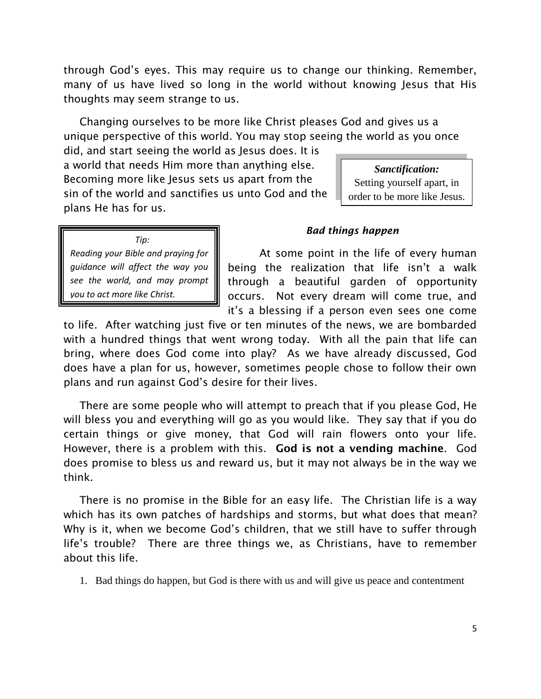through God's eyes. This may require us to change our thinking. Remember, many of us have lived so long in the world without knowing Jesus that His thoughts may seem strange to us.

Changing ourselves to be more like Christ pleases God and gives us a unique perspective of this world. You may stop seeing the world as you once

did, and start seeing the world as Jesus does. It is a world that needs Him more than anything else. Becoming more like Jesus sets us apart from the sin of the world and sanctifies us unto God and the plans He has for us.

*Sanctification:*  Setting yourself apart, in order to be more like Jesus.

 *Tip: Reading your Bible and praying for guidance will affect the way you see the world, and may prompt you to act more like Christ.*

#### *Bad things happen*

At some point in the life of every human being the realization that life isn't a walk through a beautiful garden of opportunity occurs. Not every dream will come true, and it's a blessing if a person even sees one come

to life. After watching just five or ten minutes of the news, we are bombarded with a hundred things that went wrong today. With all the pain that life can bring, where does God come into play? As we have already discussed, God does have a plan for us, however, sometimes people chose to follow their own plans and run against God's desire for their lives.

There are some people who will attempt to preach that if you please God, He will bless you and everything will go as you would like. They say that if you do certain things or give money, that God will rain flowers onto your life. However, there is a problem with this. **God is not a vending machine**. God does promise to bless us and reward us, but it may not always be in the way we think.

There is no promise in the Bible for an easy life. The Christian life is a way which has its own patches of hardships and storms, but what does that mean? Why is it, when we become God's children, that we still have to suffer through life's trouble? There are three things we, as Christians, have to remember about this life.

1. Bad things do happen, but God is there with us and will give us peace and contentment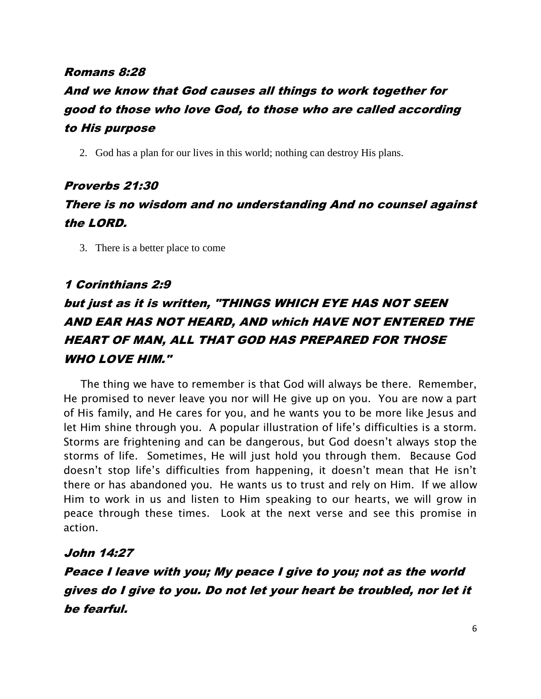#### Romans 8:28

# And we know that God causes all things to work together for good to those who love God, to those who are called according to His purpose

2. God has a plan for our lives in this world; nothing can destroy His plans.

# Proverbs 21:30 There is no wisdom and no understanding And no counsel against the LORD.

3. There is a better place to come

### 1 Corinthians 2:9

# but just as it is written, "THINGS WHICH EYE HAS NOT SEEN AND EAR HAS NOT HEARD, AND which HAVE NOT ENTERED THE HEART OF MAN, ALL THAT GOD HAS PREPARED FOR THOSE WHO LOVE HIM."

 The thing we have to remember is that God will always be there. Remember, He promised to never leave you nor will He give up on you. You are now a part of His family, and He cares for you, and he wants you to be more like Jesus and let Him shine through you. A popular illustration of life's difficulties is a storm. Storms are frightening and can be dangerous, but God doesn't always stop the storms of life. Sometimes, He will just hold you through them. Because God doesn't stop life's difficulties from happening, it doesn't mean that He isn't there or has abandoned you. He wants us to trust and rely on Him. If we allow Him to work in us and listen to Him speaking to our hearts, we will grow in peace through these times. Look at the next verse and see this promise in action.

### John 14:27

Peace I leave with you; My peace I give to you; not as the world gives do I give to you. Do not let your heart be troubled, nor let it be fearful.